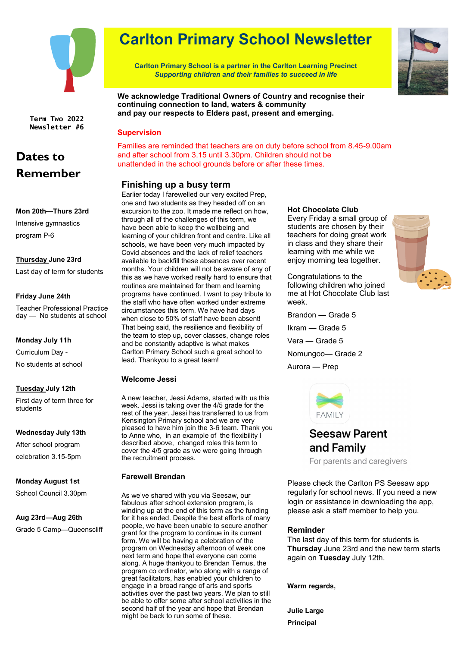

**Term Two 2022 Newsletter #6**

# **Dates to Remember**

### **Mon 20th—Thurs 23rd**

Intensive gymnastics program P-6

### **Thursday June 23rd**

Last day of term for students

### **Friday June 24th**

Teacher Professional Practice day — No students at school

#### **Monday July 11h**

Curriculum Day - No students at school

### **Tuesday July 12th**

First day of term three for students

### **Wednesday July 13th**

After school program celebration 3.15-5pm

### **Monday August 1st**

School Council 3.30pm

### **Aug 23rd—Aug 26th**

Grade 5 Camp—Queenscliff

# **Carlton Primary School Newsletter**

**Carlton Primary School is a partner in the Carlton Learning Precinct** *Supporting children and their families to succeed in life*



**We acknowledge Traditional Owners of Country and recognise their continuing connection to land, waters & community and pay our respects to Elders past, present and emerging.**

### **Supervision**

Families are reminded that teachers are on duty before school from 8.45-9.00am and after school from 3.15 until 3.30pm. Children should not be unattended in the school grounds before or after these times.

### **Finishing up a busy term**

Earlier today I farewelled our very excited Prep, one and two students as they headed off on an excursion to the zoo. It made me reflect on how, through all of the challenges of this term, we have been able to keep the wellbeing and learning of your children front and centre. Like all schools, we have been very much impacted by Covid absences and the lack of relief teachers available to backfill these absences over recent months. Your children will not be aware of any of this as we have worked really hard to ensure that routines are maintained for them and learning programs have continued. I want to pay tribute to the staff who have often worked under extreme circumstances this term. We have had days when close to 50% of staff have been absent! That being said, the resilience and flexibility of the team to step up, cover classes, change roles and be constantly adaptive is what makes Carlton Primary School such a great school to lead. Thankyou to a great team!

### **Welcome Jessi**

A new teacher, Jessi Adams, started with us this week. Jessi is taking over the 4/5 grade for the rest of the year. Jessi has transferred to us from Kensington Primary school and we are very pleased to have him join the 3-6 team. Thank you to Anne who, in an example of the flexibility I described above, changed roles this term to cover the 4/5 grade as we were going through the recruitment process.

### **Farewell Brendan**

As we've shared with you via Seesaw, our fabulous after school extension program, is winding up at the end of this term as the funding for it has ended. Despite the best efforts of many people, we have been unable to secure another grant for the program to continue in its current form. We will be having a celebration of the program on Wednesday afternoon of week one next term and hope that everyone can come along. A huge thankyou to Brendan Ternus, the program co ordinator, who along with a range of great facilitators, has enabled your children to engage in a broad range of arts and sports activities over the past two years. We plan to still be able to offer some after school activities in the second half of the year and hope that Brendan might be back to run some of these.

### **Hot Chocolate Club**

Every Friday a small group of students are chosen by their teachers for doing great work in class and they share their learning with me while we enjoy morning tea together.

Congratulations to the following children who joined me at Hot Chocolate Club last week.

Brandon — Grade 5 Ikram — Grade 5 Vera — Grade 5 Nomungoo— Grade 2 Aurora — Prep



### **Seesaw Parent** and Family

For parents and caregivers

Please check the Carlton PS Seesaw app regularly for school news. If you need a new login or assistance in downloading the app, please ask a staff member to help you.

### **Reminder**

The last day of this term for students is **Thursday** June 23rd and the new term starts again on **Tuesday** July 12th.

**Warm regards,**

**Julie Large Principal**